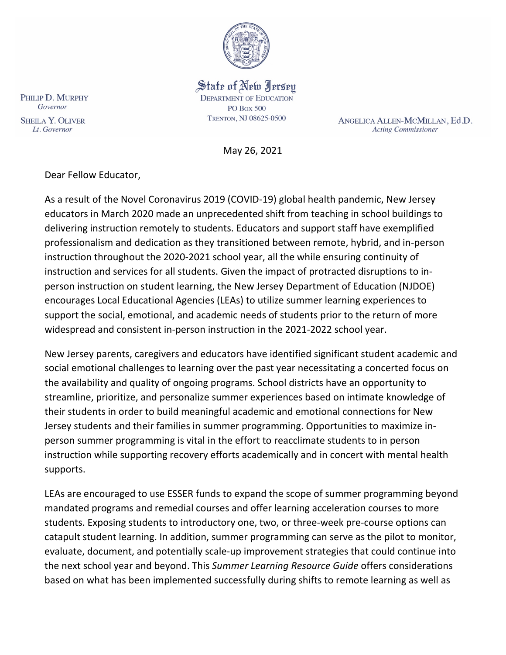

State of New Jersey **DEPARTMENT OF EDUCATION PO Box 500** TRENTON, NJ 08625-0500

ANGELICA ALLEN-MCMILLAN, Ed.D. **Acting Commissioner** 

May 26, 2021

Dear Fellow Educator,

As a result of the Novel Coronavirus 2019 (COVID-19) global health pandemic, New Jersey educators in March 2020 made an unprecedented shift from teaching in school buildings to delivering instruction remotely to students. Educators and support staff have exemplified professionalism and dedication as they transitioned between remote, hybrid, and in-person instruction throughout the 2020-2021 school year, all the while ensuring continuity of instruction and services for all students. Given the impact of protracted disruptions to inperson instruction on student learning, the New Jersey Department of Education (NJDOE) encourages Local Educational Agencies (LEAs) to utilize summer learning experiences to support the social, emotional, and academic needs of students prior to the return of more widespread and consistent in-person instruction in the 2021-2022 school year.

New Jersey parents, caregivers and educators have identified significant student academic and social emotional challenges to learning over the past year necessitating a concerted focus on the availability and quality of ongoing programs. School districts have an opportunity to streamline, prioritize, and personalize summer experiences based on intimate knowledge of their students in order to build meaningful academic and emotional connections for New Jersey students and their families in summer programming. Opportunities to maximize inperson summer programming is vital in the effort to reacclimate students to in person instruction while supporting recovery efforts academically and in concert with mental health supports.

LEAs are encouraged to use ESSER funds to expand the scope of summer programming beyond mandated programs and remedial courses and offer learning acceleration courses to more students. Exposing students to introductory one, two, or three-week pre-course options can catapult student learning. In addition, summer programming can serve as the pilot to monitor, evaluate, document, and potentially scale-up improvement strategies that could continue into the next school year and beyond. This *Summer Learning Resource Guide* offers considerations based on what has been implemented successfully during shifts to remote learning as well as

PHILIP D. MURPHY Governor **SHEILA Y. OLIVER** Lt. Governor